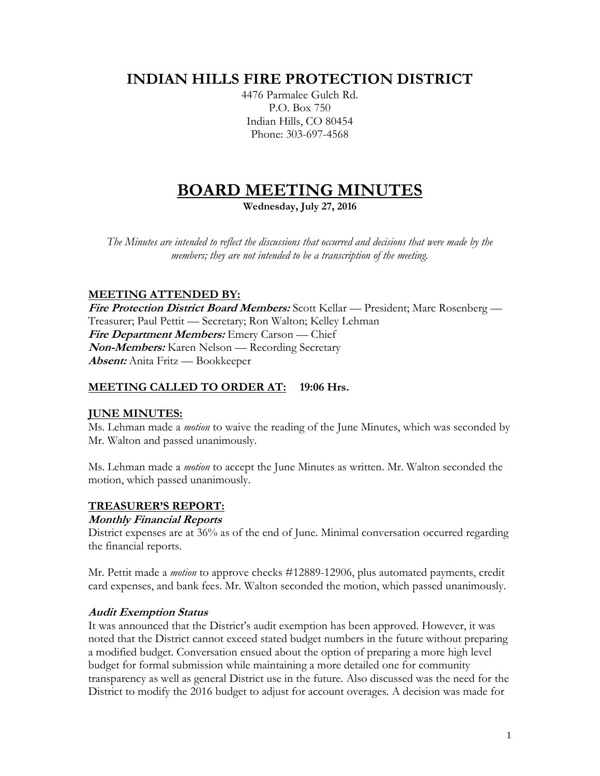# **INDIAN HILLS FIRE PROTECTION DISTRICT**

4476 Parmalee Gulch Rd. P.O. Box 750 Indian Hills, CO 80454 Phone: 303-697-4568

# **BOARD MEETING MINUTES**

**Wednesday, July 27, 2016**

*The Minutes are intended to reflect the discussions that occurred and decisions that were made by the members; they are not intended to be a transcription of the meeting.*

# **MEETING ATTENDED BY:**

**Fire Protection District Board Members:** Scott Kellar — President; Marc Rosenberg — Treasurer; Paul Pettit — Secretary; Ron Walton; Kelley Lehman **Fire Department Members:** Emery Carson — Chief **Non-Members:** Karen Nelson — Recording Secretary **Absent:** Anita Fritz — Bookkeeper

# **MEETING CALLED TO ORDER AT: 19:06 Hrs.**

# **JUNE MINUTES:**

Ms. Lehman made a *motion* to waive the reading of the June Minutes, which was seconded by Mr. Walton and passed unanimously.

Ms. Lehman made a *motion* to accept the June Minutes as written. Mr. Walton seconded the motion, which passed unanimously.

# **TREASURER'S REPORT:**

#### **Monthly Financial Reports**

District expenses are at 36% as of the end of June. Minimal conversation occurred regarding the financial reports.

Mr. Pettit made a *motion* to approve checks #12889-12906, plus automated payments, credit card expenses, and bank fees. Mr. Walton seconded the motion, which passed unanimously.

#### **Audit Exemption Status**

It was announced that the District's audit exemption has been approved. However, it was noted that the District cannot exceed stated budget numbers in the future without preparing a modified budget. Conversation ensued about the option of preparing a more high level budget for formal submission while maintaining a more detailed one for community transparency as well as general District use in the future. Also discussed was the need for the District to modify the 2016 budget to adjust for account overages. A decision was made for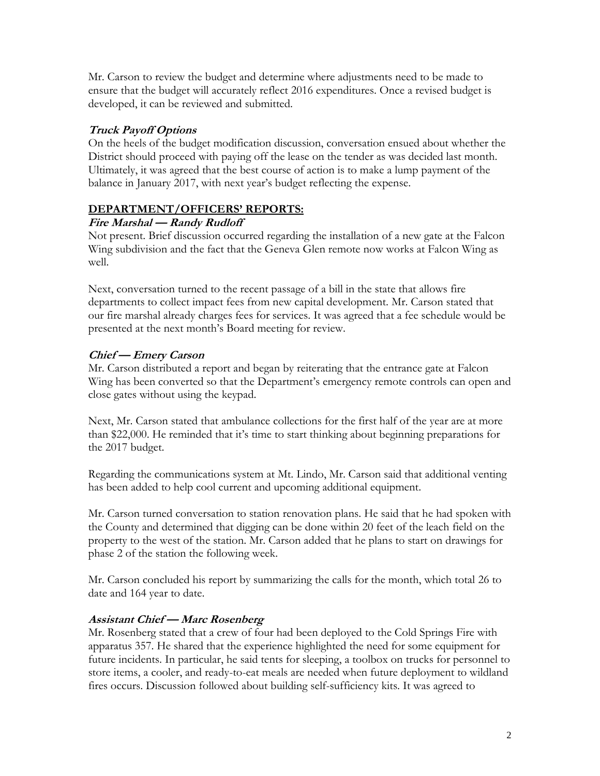Mr. Carson to review the budget and determine where adjustments need to be made to ensure that the budget will accurately reflect 2016 expenditures. Once a revised budget is developed, it can be reviewed and submitted.

#### **Truck Payoff Options**

On the heels of the budget modification discussion, conversation ensued about whether the District should proceed with paying off the lease on the tender as was decided last month. Ultimately, it was agreed that the best course of action is to make a lump payment of the balance in January 2017, with next year's budget reflecting the expense.

#### **DEPARTMENT/OFFICERS' REPORTS:**

#### **Fire Marshal — Randy Rudloff**

Not present. Brief discussion occurred regarding the installation of a new gate at the Falcon Wing subdivision and the fact that the Geneva Glen remote now works at Falcon Wing as well.

Next, conversation turned to the recent passage of a bill in the state that allows fire departments to collect impact fees from new capital development. Mr. Carson stated that our fire marshal already charges fees for services. It was agreed that a fee schedule would be presented at the next month's Board meeting for review.

# **Chief — Emery Carson**

Mr. Carson distributed a report and began by reiterating that the entrance gate at Falcon Wing has been converted so that the Department's emergency remote controls can open and close gates without using the keypad.

Next, Mr. Carson stated that ambulance collections for the first half of the year are at more than \$22,000. He reminded that it's time to start thinking about beginning preparations for the 2017 budget.

Regarding the communications system at Mt. Lindo, Mr. Carson said that additional venting has been added to help cool current and upcoming additional equipment.

Mr. Carson turned conversation to station renovation plans. He said that he had spoken with the County and determined that digging can be done within 20 feet of the leach field on the property to the west of the station. Mr. Carson added that he plans to start on drawings for phase 2 of the station the following week.

Mr. Carson concluded his report by summarizing the calls for the month, which total 26 to date and 164 year to date.

# **Assistant Chief — Marc Rosenberg**

Mr. Rosenberg stated that a crew of four had been deployed to the Cold Springs Fire with apparatus 357. He shared that the experience highlighted the need for some equipment for future incidents. In particular, he said tents for sleeping, a toolbox on trucks for personnel to store items, a cooler, and ready-to-eat meals are needed when future deployment to wildland fires occurs. Discussion followed about building self-sufficiency kits. It was agreed to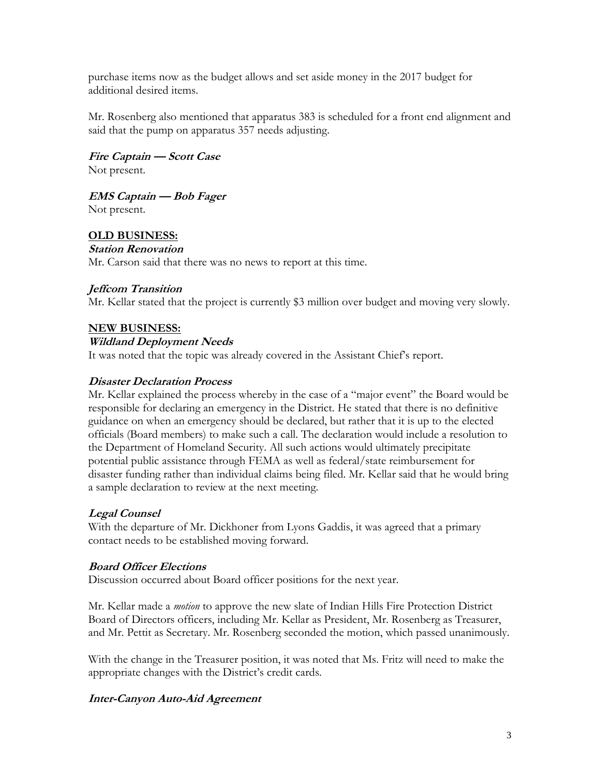purchase items now as the budget allows and set aside money in the 2017 budget for additional desired items.

Mr. Rosenberg also mentioned that apparatus 383 is scheduled for a front end alignment and said that the pump on apparatus 357 needs adjusting.

**Fire Captain — Scott Case** Not present.

**EMS Captain — Bob Fager**

Not present.

# **OLD BUSINESS:**

#### **Station Renovation**

Mr. Carson said that there was no news to report at this time.

# **Jeffcom Transition**

Mr. Kellar stated that the project is currently \$3 million over budget and moving very slowly.

#### **NEW BUSINESS:**

#### **Wildland Deployment Needs**

It was noted that the topic was already covered in the Assistant Chief's report.

#### **Disaster Declaration Process**

Mr. Kellar explained the process whereby in the case of a "major event" the Board would be responsible for declaring an emergency in the District. He stated that there is no definitive guidance on when an emergency should be declared, but rather that it is up to the elected officials (Board members) to make such a call. The declaration would include a resolution to the Department of Homeland Security. All such actions would ultimately precipitate potential public assistance through FEMA as well as federal/state reimbursement for disaster funding rather than individual claims being filed. Mr. Kellar said that he would bring a sample declaration to review at the next meeting.

# **Legal Counsel**

With the departure of Mr. Dickhoner from Lyons Gaddis, it was agreed that a primary contact needs to be established moving forward.

# **Board Officer Elections**

Discussion occurred about Board officer positions for the next year.

Mr. Kellar made a *motion* to approve the new slate of Indian Hills Fire Protection District Board of Directors officers, including Mr. Kellar as President, Mr. Rosenberg as Treasurer, and Mr. Pettit as Secretary. Mr. Rosenberg seconded the motion, which passed unanimously.

With the change in the Treasurer position, it was noted that Ms. Fritz will need to make the appropriate changes with the District's credit cards.

# **Inter-Canyon Auto-Aid Agreement**